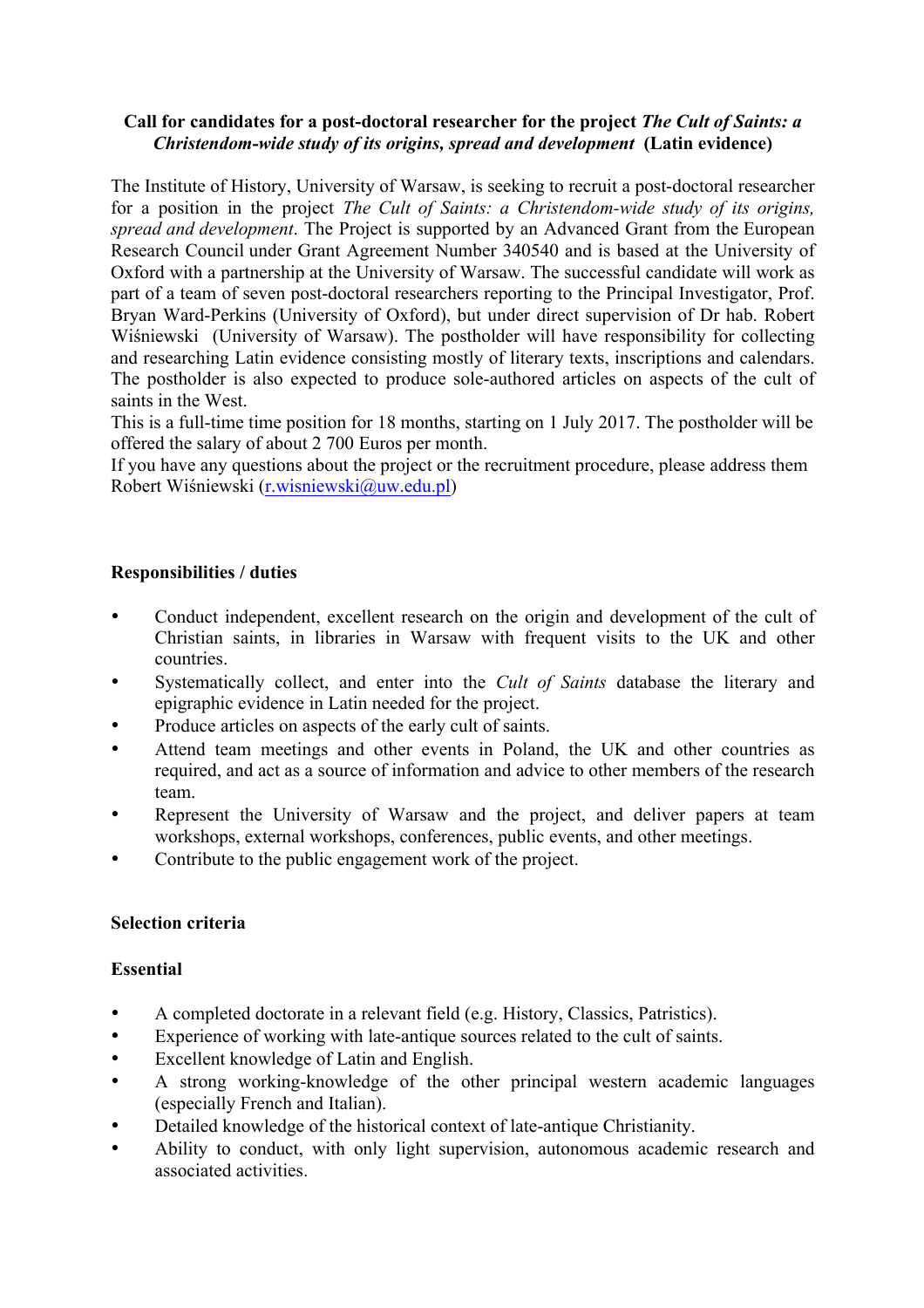## **Call for candidates for a post-doctoral researcher for the project** *The Cult of Saints: a Christendom-wide study of its origins, spread and development* **(Latin evidence)**

The Institute of History, University of Warsaw, is seeking to recruit a post-doctoral researcher for a position in the project *The Cult of Saints: a Christendom-wide study of its origins, spread and development*. The Project is supported by an Advanced Grant from the European Research Council under Grant Agreement Number 340540 and is based at the University of Oxford with a partnership at the University of Warsaw. The successful candidate will work as part of a team of seven post-doctoral researchers reporting to the Principal Investigator, Prof. Bryan Ward-Perkins (University of Oxford), but under direct supervision of Dr hab. Robert Wiśniewski (University of Warsaw). The postholder will have responsibility for collecting and researching Latin evidence consisting mostly of literary texts, inscriptions and calendars. The postholder is also expected to produce sole-authored articles on aspects of the cult of saints in the West.

This is a full-time time position for 18 months, starting on 1 July 2017. The postholder will be offered the salary of about 2 700 Euros per month.

If you have any questions about the project or the recruitment procedure, please address them Robert Wiśniewski (r.wisniewski@uw.edu.pl)

# **Responsibilities / duties**

- Conduct independent, excellent research on the origin and development of the cult of Christian saints, in libraries in Warsaw with frequent visits to the UK and other countries.
- Systematically collect, and enter into the *Cult of Saints* database the literary and epigraphic evidence in Latin needed for the project.
- Produce articles on aspects of the early cult of saints.
- Attend team meetings and other events in Poland, the UK and other countries as required, and act as a source of information and advice to other members of the research team.
- Represent the University of Warsaw and the project, and deliver papers at team workshops, external workshops, conferences, public events, and other meetings.
- Contribute to the public engagement work of the project.

# **Selection criteria**

### **Essential**

- A completed doctorate in a relevant field (e.g. History, Classics, Patristics).
- Experience of working with late-antique sources related to the cult of saints.
- Excellent knowledge of Latin and English.
- A strong working-knowledge of the other principal western academic languages (especially French and Italian).
- Detailed knowledge of the historical context of late-antique Christianity.
- Ability to conduct, with only light supervision, autonomous academic research and associated activities.